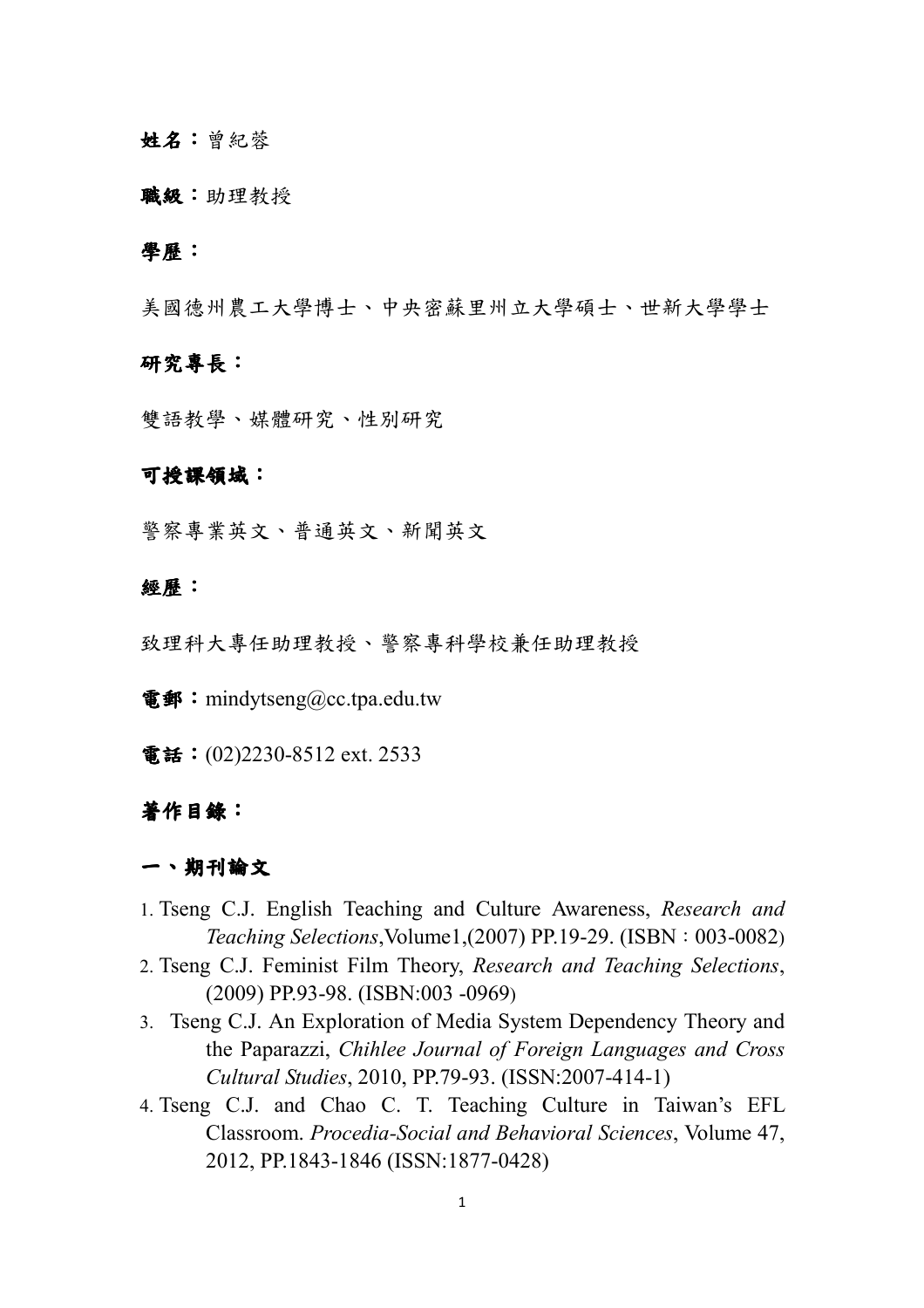### 姓名:曾紀蓉

#### 職級:助理教授

### 學歷:

美國德州農工大學博士、中央密蘇里州立大學碩士、世新大學學士

### 研究專長:

雙語教學、媒體研究、性別研究

### 可授課領域:

警察專業英文、普通英文、新聞英文

### 經歷:

致理科大專任助理教授、警察專科學校兼任助理教授

電郵: mindytseng@cc.tpa.edu.tw

電話: (02)2230-8512 ext. 2533

### 著作目錄:

## 一、期刊論文

- 1. Tseng C.J. English Teaching and Culture Awareness, *Research and Teaching Selections*, *Volume1,*(2007) PP.19-29. (ISBN: 003-0082)
- 2. Tseng C.J. Feminist Film Theory, *Research and Teaching Selections*, (2009) PP.93-98. (ISBN:003 -0969)
- 3. Tseng C.J. An Exploration of Media System Dependency Theory and the Paparazzi, *Chihlee Journal of Foreign Languages and Cross Cultural Studies*, 2010, PP.79-93. (ISSN:2007-414-1)
- 4. Tseng C.J. and Chao C. T. Teaching Culture in Taiwan's EFL Classroom. *Procedia-Social and Behavioral Sciences*, Volume 47, 2012, PP.1843-1846 (ISSN:1877-0428)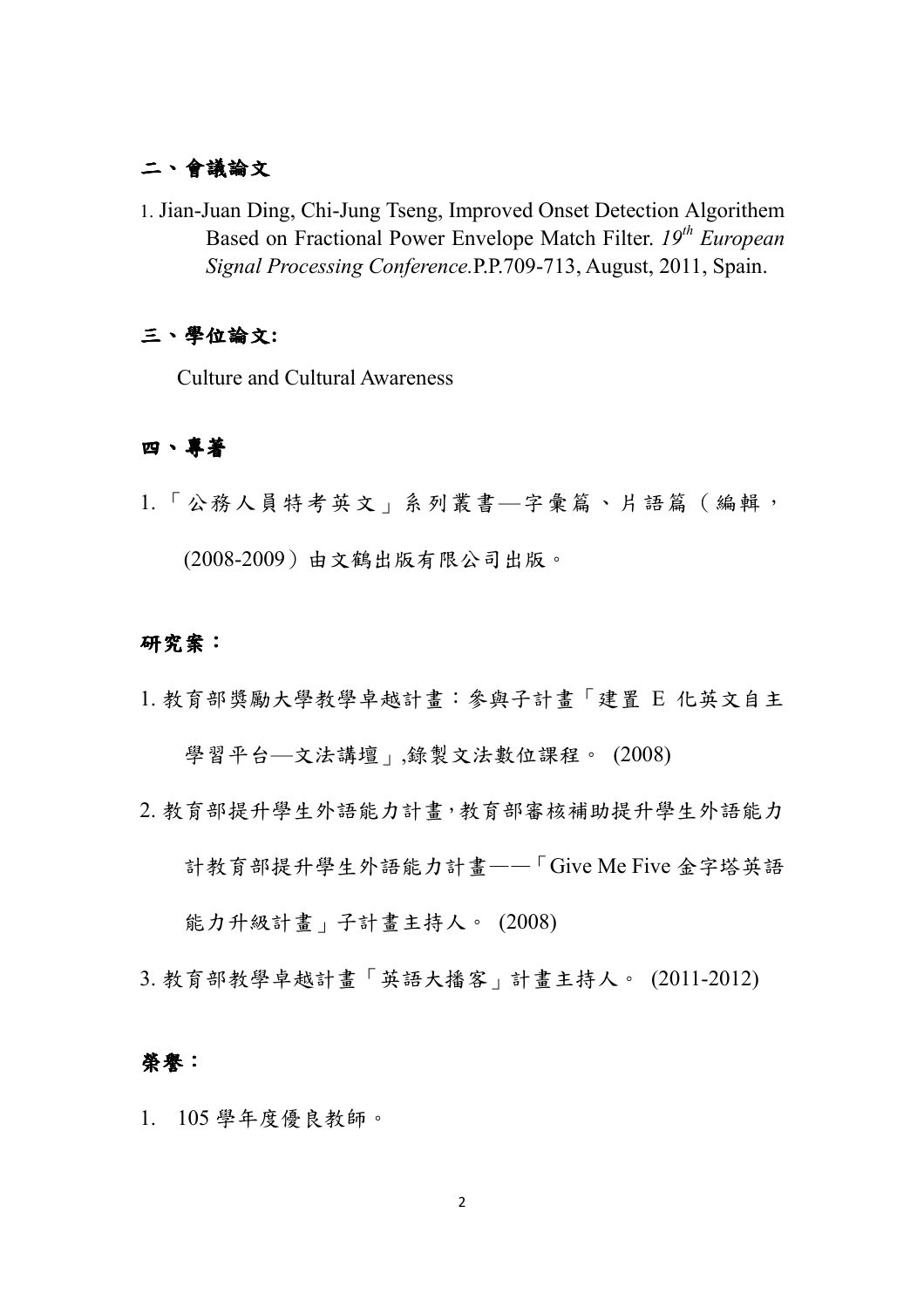# 二、會議論文

1. Jian-Juan Ding, Chi-Jung Tseng, Improved Onset Detection Algorithem Based on Fractional Power Envelope Match Filter. *19th European Signal Processing Conference.*P.P.709-713, August, 2011, Spain.

## 三、學位論文**:**

Culture and Cultural Awareness

## 四、專著

1. 「公務人員特考英文」系列叢書—字彙篇、片語篇(編輯,

(2008-2009)由文鶴出版有限公司出版。

## 研究案:

1. 教育部獎勵大學教學卓越計畫:參與子計畫「建置 E 化英文自主

學習平台—文法講壇」,錄製文法數位課程。 (2008)

2. 教育部提升學生外語能力計畫,教育部審核補助提升學生外語能力

計教育部提升學生外語能力計畫——「Give Me Five 金字塔英語

能力升級計畫」子計畫主持人。 (2008)

3. 教育部教學卓越計畫「英語大播客」計畫主持人。 (2011-2012)

## 榮譽:

1. 105 學年度優良教師。